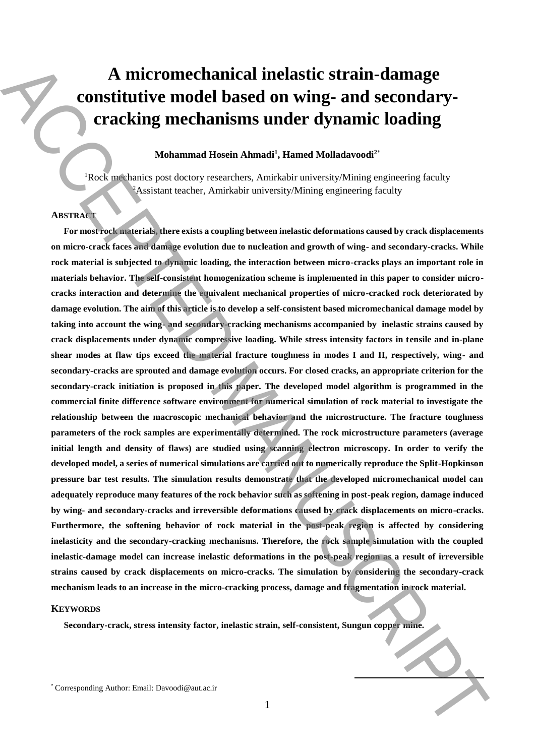# **A micromechanical inelastic strain-damage constitutive model based on wing- and secondarycracking mechanisms under dynamic loading**

## **Mohammad Hosein Ahmadi<sup>1</sup> , Hamed Molladavoodi<sup>2</sup>**\*

<sup>1</sup>Rock mechanics post doctory researchers, Amirkabir university/Mining engineering faculty <sup>2</sup>Assistant teacher, Amirkabir university/Mining engineering faculty

## **ABSTRACT**

**For most rock materials, there exists a coupling between inelastic deformations caused by crack displacements on micro-crack faces and damage evolution due to nucleation and growth of wing- and secondary-cracks. While rock material is subjected to dynamic loading, the interaction between micro-cracks plays an important role in materials behavior. The self-consistent homogenization scheme is implemented in this paper to consider microcracks interaction and determine the equivalent mechanical properties of micro-cracked rock deteriorated by damage evolution. The aim of this article is to develop a self-consistent based micromechanical damage model by taking into account the wing- and secondary-cracking mechanisms accompanied by inelastic strains caused by crack displacements under dynamic compressive loading. While stress intensity factors in tensile and in-plane shear modes at flaw tips exceed the material fracture toughness in modes I and II, respectively, wing- and secondary-cracks are sprouted and damage evolution occurs. For closed cracks, an appropriate criterion for the secondary-crack initiation is proposed in this paper. The developed model algorithm is programmed in the commercial finite difference software environment for numerical simulation of rock material to investigate the relationship between the macroscopic mechanical behavior and the microstructure. The fracture toughness parameters of the rock samples are experimentally determined. The rock microstructure parameters (average initial length and density of flaws) are studied using scanning electron microscopy. In order to verify the developed model, a series of numerical simulations are carried out to numerically reproduce the Split-Hopkinson pressure bar test results. The simulation results demonstrate that the developed micromechanical model can adequately reproduce many features of the rock behavior such as softening in post-peak region, damage induced by wing- and secondary-cracks and irreversible deformations caused by crack displacements on micro-cracks. Furthermore, the softening behavior of rock material in the post-peak region is affected by considering inelasticity and the secondary-cracking mechanisms. Therefore, the rock sample simulation with the coupled inelastic-damage model can increase inelastic deformations in the post-peak region as a result of irreversible strains caused by crack displacements on micro-cracks. The simulation by considering the secondary-crack mechanism leads to an increase in the micro-cracking process, damage and fragmentation in rock material.** A micromorehanical inelastic strain-damage constitutive model based on wing- and secondary-<br>
correlating mechanisms under dynamic distance in the secondary of the correlation of the correlation of the secondary of the cor

#### **KEYWORDS**

**Secondary-crack, stress intensity factor, inelastic strain, self-consistent, Sungun copper mine.**

**.**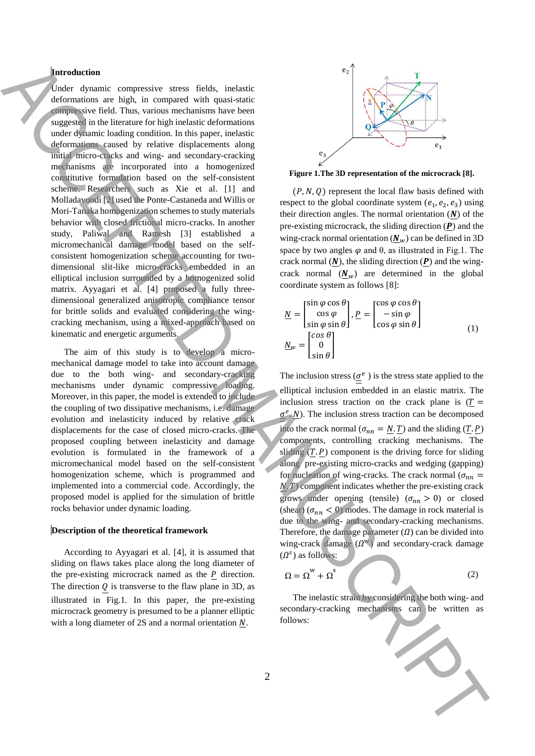## **Introduction**

Under dynamic compressive stress fields, inelastic deformations are high, in compared with quasi-static compressive field. Thus, various mechanisms have been suggested in the literature for high inelastic deformations under dynamic loading condition. In this paper, inelastic deformations caused by relative displacements along initial micro-cracks and wing- and secondary-cracking mechanisms are incorporated into a homogenized constitutive formulation based on the self-consistent scheme. Researchers such as Xie et al. [1] and Molladavoodi [2] used the Ponte-Castaneda and Willis or Mori-Tanaka homogenization schemes to study materials behavior with closed frictional micro-cracks. In another study, Paliwal and Ramesh [3] established a micromechanical damage model based on the selfconsistent homogenization scheme accounting for twodimensional slit-like micro-cracks embedded in an elliptical inclusion surrounded by a homogenized solid matrix. Ayyagari et al. [4] proposed a fully threedimensional generalized anisotropic compliance tensor for brittle solids and evaluated considering the wingcracking mechanism, using a mixed-approach based on kinematic and energetic arguments. **Follows:**  $\alpha$  is the second with the constraints of the second with the second with the second with the second with the second with the second with the second with the second with the second with the second with the sec

The aim of this study is to develop a micromechanical damage model to take into account damage due to the both wing- and secondary-cracking mechanisms under dynamic compressive loading. Moreover, in this paper, the model is extended to include the coupling of two dissipative mechanisms, i.e. damage evolution and inelasticity induced by relative crack displacements for the case of closed micro-cracks. The proposed coupling between inelasticity and damage evolution is formulated in the framework of a micromechanical model based on the self-consistent homogenization scheme, which is programmed and implemented into a commercial code. Accordingly, the proposed model is applied for the simulation of brittle rocks behavior under dynamic loading.

#### **Description of the theoretical framework**

According to Ayyagari et al. [4], it is assumed that sliding on flaws takes place along the long diameter of the pre-existing microcrack named as the  $P$  direction. The direction  $Q$  is transverse to the flaw plane in 3D, as illustrated in Fig.1. In this paper, the pre-existing microcrack geometry is presumed to be a planner elliptic with a long diameter of  $2S$  and a normal orientation  $N$ .



**Figure 1.The 3D representation of the microcrack [8].**

 $(P, N, Q)$  represent the local flaw basis defined with respect to the global coordinate system  $(e_1, e_2, e_3)$  using their direction angles. The normal orientation  $(N)$  of the pre-existing microcrack, the sliding direction  $(P)$  and the wing-crack normal orientation  $(\underline{N}_w)$  can be defined in 3D space by two angles  $\varphi$  and  $\theta$ , as illustrated in Fig.1. The crack normal  $(N)$ , the sliding direction  $(P)$  and the wingcrack normal  $(\mathbf{N}_w)$  are determined in the global coordinate system as follows [8]:

$$
\underline{N} = \begin{bmatrix} \sin \varphi \cos \theta \\ \cos \varphi \\ \sin \varphi \sin \theta \end{bmatrix}, \underline{P} = \begin{bmatrix} \cos \varphi \cos \theta \\ -\sin \varphi \\ \cos \varphi \sin \theta \end{bmatrix}
$$
\n
$$
\underline{N}_{w} = \begin{bmatrix} \cos \theta \\ 0 \\ \sin \theta \end{bmatrix}
$$
\n(1)

The inclusion stress ( $\underline{\sigma}^e$ ) is the stress state applied to the elliptical inclusion embedded in an elastic matrix. The inclusion stress traction on the crack plane is  $(T =$  $\sigma^e$ . N). The inclusion stress traction can be decomposed into the crack normal ( $\sigma_{nn} = N \cdot T$ ) and the sliding (T. P) components, controlling cracking mechanisms. The sliding  $(T, P)$  component is the driving force for sliding along pre-existing micro-cracks and wedging (gapping) for nucleation of wing-cracks. The crack normal ( $\sigma_{nn}$  =  $N$ .  $T$ ) component indicates whether the pre-existing crack grows under opening (tensile)  $(\sigma_{nn} > 0)$  or closed (shear) ( $\sigma_{nn}$  < 0) modes. The damage in rock material is due to the wing- and secondary-cracking mechanisms. Therefore, the damage parameter  $(\Omega)$  can be divided into wing-crack damage  $(\Omega^w)$  and secondary-crack damage  $(\Omega^s)$  as follows:

$$
\Omega = \Omega^{\rm w} + \Omega^{\rm s} \tag{2}
$$

The inelastic strain by considering the both wing- and secondary-cracking mechanisms can be written as